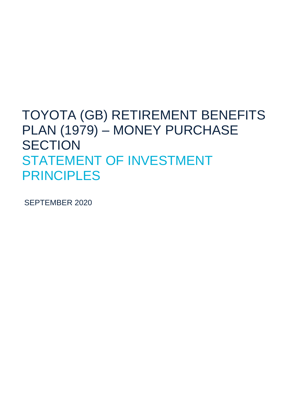### TOYOTA (GB) RETIREMENT BENEFITS PLAN (1979) – MONEY PURCHASE **SECTION** STATEMENT OF INVESTMENT PRINCIPLES

SEPTEMBER 2020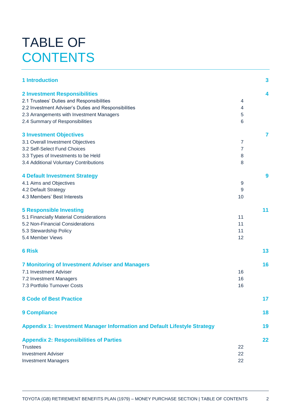## TABLE OF **CONTENTS**

| <b>2 Investment Responsibilities</b><br>4<br>2.1 Trustees' Duties and Responsibilities<br>4<br>2.2 Investment Adviser's Duties and Responsibilities<br>$\overline{4}$<br>2.3 Arrangements with Investment Managers<br>5<br>2.4 Summary of Responsibilities<br>6<br><b>3 Investment Objectives</b><br>7<br>3.1 Overall Investment Objectives<br>$\overline{7}$<br>3.2 Self-Select Fund Choices<br>7<br>3.3 Types of Investments to be Held<br>8<br>3.4 Additional Voluntary Contributions<br>8<br><b>4 Default Investment Strategy</b><br>9<br>4.1 Aims and Objectives<br>9<br>4.2 Default Strategy<br>9<br>4.3 Members' Best Interests<br>10<br>11<br><b>5 Responsible Investing</b><br>5.1 Financially Material Considerations<br>11<br>5.2 Non-Financial Considerations<br>11<br>5.3 Stewardship Policy<br>11<br>5.4 Member Views<br>12<br>13<br><b>6 Risk</b><br>16<br><b>7 Monitoring of Investment Adviser and Managers</b><br>7.1 Investment Adviser<br>16<br>7.2 Investment Managers<br>16<br>7.3 Portfolio Turnover Costs<br>16<br><b>8 Code of Best Practice</b><br>17<br>18<br><b>9 Compliance</b><br>Appendix 1: Investment Manager Information and Default Lifestyle Strategy<br>19<br><b>Appendix 2: Responsibilities of Parties</b><br>22<br><b>Trustees</b><br>22<br><b>Investment Adviser</b><br>22<br>22<br><b>Investment Managers</b> | <b>1 Introduction</b> | $\overline{\mathbf{3}}$ |
|---------------------------------------------------------------------------------------------------------------------------------------------------------------------------------------------------------------------------------------------------------------------------------------------------------------------------------------------------------------------------------------------------------------------------------------------------------------------------------------------------------------------------------------------------------------------------------------------------------------------------------------------------------------------------------------------------------------------------------------------------------------------------------------------------------------------------------------------------------------------------------------------------------------------------------------------------------------------------------------------------------------------------------------------------------------------------------------------------------------------------------------------------------------------------------------------------------------------------------------------------------------------------------------------------------------------------------------------------------|-----------------------|-------------------------|
|                                                                                                                                                                                                                                                                                                                                                                                                                                                                                                                                                                                                                                                                                                                                                                                                                                                                                                                                                                                                                                                                                                                                                                                                                                                                                                                                                         |                       |                         |
|                                                                                                                                                                                                                                                                                                                                                                                                                                                                                                                                                                                                                                                                                                                                                                                                                                                                                                                                                                                                                                                                                                                                                                                                                                                                                                                                                         |                       |                         |
|                                                                                                                                                                                                                                                                                                                                                                                                                                                                                                                                                                                                                                                                                                                                                                                                                                                                                                                                                                                                                                                                                                                                                                                                                                                                                                                                                         |                       |                         |
|                                                                                                                                                                                                                                                                                                                                                                                                                                                                                                                                                                                                                                                                                                                                                                                                                                                                                                                                                                                                                                                                                                                                                                                                                                                                                                                                                         |                       |                         |
|                                                                                                                                                                                                                                                                                                                                                                                                                                                                                                                                                                                                                                                                                                                                                                                                                                                                                                                                                                                                                                                                                                                                                                                                                                                                                                                                                         |                       |                         |
|                                                                                                                                                                                                                                                                                                                                                                                                                                                                                                                                                                                                                                                                                                                                                                                                                                                                                                                                                                                                                                                                                                                                                                                                                                                                                                                                                         |                       |                         |
|                                                                                                                                                                                                                                                                                                                                                                                                                                                                                                                                                                                                                                                                                                                                                                                                                                                                                                                                                                                                                                                                                                                                                                                                                                                                                                                                                         |                       |                         |
|                                                                                                                                                                                                                                                                                                                                                                                                                                                                                                                                                                                                                                                                                                                                                                                                                                                                                                                                                                                                                                                                                                                                                                                                                                                                                                                                                         |                       |                         |
|                                                                                                                                                                                                                                                                                                                                                                                                                                                                                                                                                                                                                                                                                                                                                                                                                                                                                                                                                                                                                                                                                                                                                                                                                                                                                                                                                         |                       |                         |
|                                                                                                                                                                                                                                                                                                                                                                                                                                                                                                                                                                                                                                                                                                                                                                                                                                                                                                                                                                                                                                                                                                                                                                                                                                                                                                                                                         |                       |                         |
|                                                                                                                                                                                                                                                                                                                                                                                                                                                                                                                                                                                                                                                                                                                                                                                                                                                                                                                                                                                                                                                                                                                                                                                                                                                                                                                                                         |                       |                         |
|                                                                                                                                                                                                                                                                                                                                                                                                                                                                                                                                                                                                                                                                                                                                                                                                                                                                                                                                                                                                                                                                                                                                                                                                                                                                                                                                                         |                       |                         |
|                                                                                                                                                                                                                                                                                                                                                                                                                                                                                                                                                                                                                                                                                                                                                                                                                                                                                                                                                                                                                                                                                                                                                                                                                                                                                                                                                         |                       |                         |
|                                                                                                                                                                                                                                                                                                                                                                                                                                                                                                                                                                                                                                                                                                                                                                                                                                                                                                                                                                                                                                                                                                                                                                                                                                                                                                                                                         |                       |                         |
|                                                                                                                                                                                                                                                                                                                                                                                                                                                                                                                                                                                                                                                                                                                                                                                                                                                                                                                                                                                                                                                                                                                                                                                                                                                                                                                                                         |                       |                         |
|                                                                                                                                                                                                                                                                                                                                                                                                                                                                                                                                                                                                                                                                                                                                                                                                                                                                                                                                                                                                                                                                                                                                                                                                                                                                                                                                                         |                       |                         |
|                                                                                                                                                                                                                                                                                                                                                                                                                                                                                                                                                                                                                                                                                                                                                                                                                                                                                                                                                                                                                                                                                                                                                                                                                                                                                                                                                         |                       |                         |
|                                                                                                                                                                                                                                                                                                                                                                                                                                                                                                                                                                                                                                                                                                                                                                                                                                                                                                                                                                                                                                                                                                                                                                                                                                                                                                                                                         |                       |                         |
|                                                                                                                                                                                                                                                                                                                                                                                                                                                                                                                                                                                                                                                                                                                                                                                                                                                                                                                                                                                                                                                                                                                                                                                                                                                                                                                                                         |                       |                         |
|                                                                                                                                                                                                                                                                                                                                                                                                                                                                                                                                                                                                                                                                                                                                                                                                                                                                                                                                                                                                                                                                                                                                                                                                                                                                                                                                                         |                       |                         |
|                                                                                                                                                                                                                                                                                                                                                                                                                                                                                                                                                                                                                                                                                                                                                                                                                                                                                                                                                                                                                                                                                                                                                                                                                                                                                                                                                         |                       |                         |
|                                                                                                                                                                                                                                                                                                                                                                                                                                                                                                                                                                                                                                                                                                                                                                                                                                                                                                                                                                                                                                                                                                                                                                                                                                                                                                                                                         |                       |                         |
|                                                                                                                                                                                                                                                                                                                                                                                                                                                                                                                                                                                                                                                                                                                                                                                                                                                                                                                                                                                                                                                                                                                                                                                                                                                                                                                                                         |                       |                         |
|                                                                                                                                                                                                                                                                                                                                                                                                                                                                                                                                                                                                                                                                                                                                                                                                                                                                                                                                                                                                                                                                                                                                                                                                                                                                                                                                                         |                       |                         |
|                                                                                                                                                                                                                                                                                                                                                                                                                                                                                                                                                                                                                                                                                                                                                                                                                                                                                                                                                                                                                                                                                                                                                                                                                                                                                                                                                         |                       |                         |
|                                                                                                                                                                                                                                                                                                                                                                                                                                                                                                                                                                                                                                                                                                                                                                                                                                                                                                                                                                                                                                                                                                                                                                                                                                                                                                                                                         |                       |                         |
|                                                                                                                                                                                                                                                                                                                                                                                                                                                                                                                                                                                                                                                                                                                                                                                                                                                                                                                                                                                                                                                                                                                                                                                                                                                                                                                                                         |                       |                         |
|                                                                                                                                                                                                                                                                                                                                                                                                                                                                                                                                                                                                                                                                                                                                                                                                                                                                                                                                                                                                                                                                                                                                                                                                                                                                                                                                                         |                       |                         |
|                                                                                                                                                                                                                                                                                                                                                                                                                                                                                                                                                                                                                                                                                                                                                                                                                                                                                                                                                                                                                                                                                                                                                                                                                                                                                                                                                         |                       |                         |
|                                                                                                                                                                                                                                                                                                                                                                                                                                                                                                                                                                                                                                                                                                                                                                                                                                                                                                                                                                                                                                                                                                                                                                                                                                                                                                                                                         |                       |                         |
|                                                                                                                                                                                                                                                                                                                                                                                                                                                                                                                                                                                                                                                                                                                                                                                                                                                                                                                                                                                                                                                                                                                                                                                                                                                                                                                                                         |                       |                         |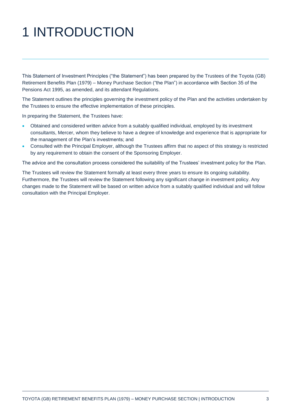# 1 INTRODUCTION

This Statement of Investment Principles ("the Statement") has been prepared by the Trustees of the Toyota (GB) Retirement Benefits Plan (1979) – Money Purchase Section ("the Plan") in accordance with Section 35 of the Pensions Act 1995, as amended, and its attendant Regulations.

The Statement outlines the principles governing the investment policy of the Plan and the activities undertaken by the Trustees to ensure the effective implementation of these principles.

In preparing the Statement, the Trustees have:

- Obtained and considered written advice from a suitably qualified individual, employed by its investment consultants, Mercer, whom they believe to have a degree of knowledge and experience that is appropriate for the management of the Plan's investments; and
- Consulted with the Principal Employer, although the Trustees affirm that no aspect of this strategy is restricted by any requirement to obtain the consent of the Sponsoring Employer.

The advice and the consultation process considered the suitability of the Trustees' investment policy for the Plan.

The Trustees will review the Statement formally at least every three years to ensure its ongoing suitability. Furthermore, the Trustees will review the Statement following any significant change in investment policy. Any changes made to the Statement will be based on written advice from a suitably qualified individual and will follow consultation with the Principal Employer.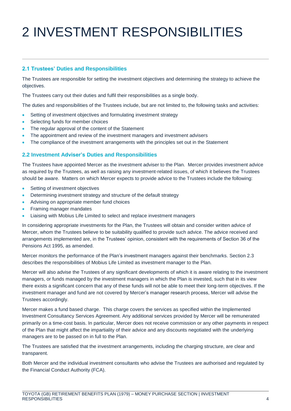# 2 INVESTMENT RESPONSIBILITIES

#### **2.1 Trustees' Duties and Responsibilities**

The Trustees are responsible for setting the investment objectives and determining the strategy to achieve the objectives.

The Trustees carry out their duties and fulfil their responsibilities as a single body.

The duties and responsibilities of the Trustees include, but are not limited to, the following tasks and activities:

- Setting of investment objectives and formulating investment strategy
- Selecting funds for member choices
- The regular approval of the content of the Statement
- The appointment and review of the investment managers and investment advisers
- The compliance of the investment arrangements with the principles set out in the Statement

#### **2.2 Investment Adviser's Duties and Responsibilities**

The Trustees have appointed Mercer as the investment adviser to the Plan. Mercer provides investment advice as required by the Trustees, as well as raising any investment-related issues, of which it believes the Trustees should be aware. Matters on which Mercer expects to provide advice to the Trustees include the following:

- Setting of investment objectives
- Determining investment strategy and structure of the default strategy
- Advising on appropriate member fund choices
- Framing manager mandates
- Liaising with Mobius Life Limited to select and replace investment managers

In considering appropriate investments for the Plan, the Trustees will obtain and consider written advice of Mercer, whom the Trustees believe to be suitability qualified to provide such advice. The advice received and arrangements implemented are, in the Trustees' opinion, consistent with the requirements of Section 36 of the Pensions Act 1995, as amended.

Mercer monitors the performance of the Plan's investment managers against their benchmarks. Section 2.3 describes the responsibilities of Mobius Life Limited as investment manager to the Plan.

Mercer will also advise the Trustees of any significant developments of which it is aware relating to the investment managers, or funds managed by the investment managers in which the Plan is invested, such that in its view there exists a significant concern that any of these funds will not be able to meet their long-term objectives. If the investment manager and fund are not covered by Mercer's manager research process, Mercer will advise the Trustees accordingly.

Mercer makes a fund based charge. This charge covers the services as specified within the Implemented Investment Consultancy Services Agreement. Any additional services provided by Mercer will be remunerated primarily on a time-cost basis. In particular, Mercer does not receive commission or any other payments in respect of the Plan that might affect the impartiality of their advice and any discounts negotiated with the underlying managers are to be passed on in full to the Plan.

The Trustees are satisfied that the investment arrangements, including the charging structure, are clear and transparent.

Both Mercer and the individual investment consultants who advise the Trustees are authorised and regulated by the Financial Conduct Authority (FCA).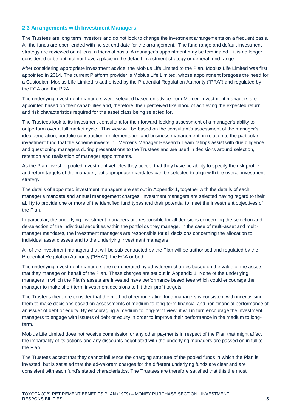#### **2.3 Arrangements with Investment Managers**

The Trustees are long term investors and do not look to change the investment arrangements on a frequent basis. All the funds are open-ended with no set end date for the arrangement. The fund range and default investment strategy are reviewed on at least a triennial basis. A manager's appointment may be terminated if it is no longer considered to be optimal nor have a place in the default investment strategy or general fund range.

After considering appropriate investment advice, the Mobius Life Limited to the Plan. Mobius Life Limited was first appointed in 2014. The current Platform provider is Mobius Life Limited, whose appointment foregoes the need for a Custodian. Mobius Life Limited is authorised by the Prudential Regulation Authority ("PRA") and regulated by the FCA and the PRA.

The underlying investment managers were selected based on advice from Mercer. Investment managers are appointed based on their capabilities and, therefore, their perceived likelihood of achieving the expected return and risk characteristics required for the asset class being selected for.

The Trustees look to its investment consultant for their forward-looking assessment of a manager's ability to outperform over a full market cycle. This view will be based on the consultant's assessment of the manager's idea generation, portfolio construction, implementation and business management, in relation to the particular investment fund that the scheme invests in. Mercer's Manager Research Team ratings assist with due diligence and questioning managers during presentations to the Trustees and are used in decisions around selection, retention and realisation of manager appointments.

As the Plan invest in pooled investment vehicles they accept that they have no ability to specify the risk profile and return targets of the manager, but appropriate mandates can be selected to align with the overall investment strategy.

The details of appointed investment managers are set out in Appendix 1, together with the details of each manager's mandate and annual management charges. Investment managers are selected having regard to their ability to provide one or more of the identified fund types and their potential to meet the investment objectives of the Plan.

In particular, the underlying investment managers are responsible for all decisions concerning the selection and de-selection of the individual securities within the portfolios they manage. In the case of multi-asset and multimanager mandates, the investment managers are responsible for all decisions concerning the allocation to individual asset classes and to the underlying investment managers.

All of the investment managers that will be sub-contracted by the Plan will be authorised and regulated by the Prudential Regulation Authority ("PRA"), the FCA or both.

The underlying investment managers are remunerated by ad valorem charges based on the value of the assets that they manage on behalf of the Plan. These charges are set out in Appendix 1. None of the underlying managers in which the Plan's assets are invested have performance based fees which could encourage the manager to make short term investment decisions to hit their profit targets.

The Trustees therefore consider that the method of remunerating fund managers is consistent with incentivising them to make decisions based on assessments of medium to long-term financial and non-financial performance of an issuer of debt or equity. By encouraging a medium to long-term view, it will in turn encourage the investment managers to engage with issuers of debt or equity in order to improve their performance in the medium to longterm.

Mobius Life Limited does not receive commission or any other payments in respect of the Plan that might affect the impartiality of its actions and any discounts negotiated with the underlying managers are passed on in full to the Plan.

The Trustees accept that they cannot influence the charging structure of the pooled funds in which the Plan is invested, but is satisfied that the ad-valorem charges for the different underlying funds are clear and are consistent with each fund's stated characteristics. The Trustees are therefore satisfied that this the most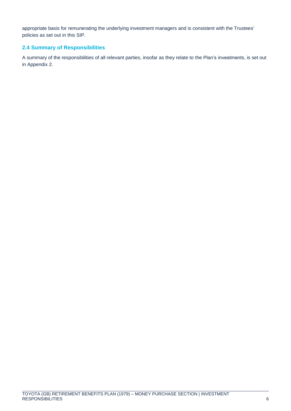appropriate basis for remunerating the underlying investment managers and is consistent with the Trustees' policies as set out in this SIP.

### **2.4 Summary of Responsibilities**

A summary of the responsibilities of all relevant parties, insofar as they relate to the Plan's investments, is set out in Appendix 2.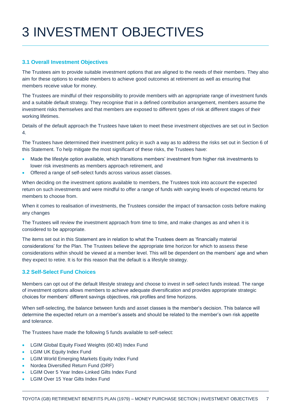# 3 INVESTMENT OBJECTIVES

#### **3.1 Overall Investment Objectives**

The Trustees aim to provide suitable investment options that are aligned to the needs of their members. They also aim for these options to enable members to achieve good outcomes at retirement as well as ensuring that members receive value for money.

The Trustees are mindful of their responsibility to provide members with an appropriate range of investment funds and a suitable default strategy. They recognise that in a defined contribution arrangement, members assume the investment risks themselves and that members are exposed to different types of risk at different stages of their working lifetimes.

Details of the default approach the Trustees have taken to meet these investment objectives are set out in Section 4.

The Trustees have determined their investment policy in such a way as to address the risks set out in Section 6 of this Statement. To help mitigate the most significant of these risks, the Trustees have:

- Made the lifestyle option available, which transitions members' investment from higher risk investments to lower risk investments as members approach retirement, and
- Offered a range of self-select funds across various asset classes.

When deciding on the investment options available to members, the Trustees took into account the expected return on such investments and were mindful to offer a range of funds with varying levels of expected returns for members to choose from.

When it comes to realisation of investments, the Trustees consider the impact of transaction costs before making any changes

The Trustees will review the investment approach from time to time, and make changes as and when it is considered to be appropriate.

The items set out in this Statement are in relation to what the Trustees deem as 'financially material considerations' for the Plan. The Trustees believe the appropriate time horizon for which to assess these considerations within should be viewed at a member level. This will be dependent on the members' age and when they expect to retire. It is for this reason that the default is a lifestyle strategy.

#### **3.2 Self-Select Fund Choices**

Members can opt out of the default lifestyle strategy and choose to invest in self-select funds instead. The range of investment options allows members to achieve adequate diversification and provides appropriate strategic choices for members' different savings objectives, risk profiles and time horizons.

When self-selecting, the balance between funds and asset classes is the member's decision. This balance will determine the expected return on a member's assets and should be related to the member's own risk appetite and tolerance.

The Trustees have made the following 5 funds available to self-select:

- **LGIM Global Equity Fixed Weights (60:40) Index Fund**
- LGIM UK Equity Index Fund
- LGIM World Emerging Markets Equity Index Fund
- Nordea Diversified Return Fund (DRF)
- LGIM Over 5 Year Index-Linked Gilts Index Fund
- LGIM Over 15 Year Gilts Index Fund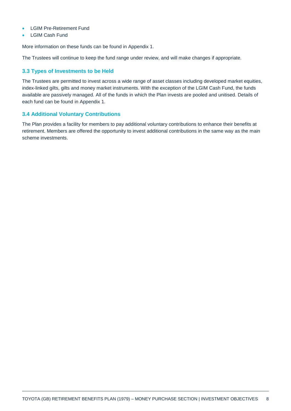- LGIM Pre-Retirement Fund
- LGIM Cash Fund

More information on these funds can be found in Appendix 1.

The Trustees will continue to keep the fund range under review, and will make changes if appropriate.

#### **3.3 Types of Investments to be Held**

The Trustees are permitted to invest across a wide range of asset classes including developed market equities, index-linked gilts, gilts and money market instruments. With the exception of the LGIM Cash Fund, the funds available are passively managed. All of the funds in which the Plan invests are pooled and unitised. Details of each fund can be found in Appendix 1.

#### **3.4 Additional Voluntary Contributions**

The Plan provides a facility for members to pay additional voluntary contributions to enhance their benefits at retirement. Members are offered the opportunity to invest additional contributions in the same way as the main scheme investments.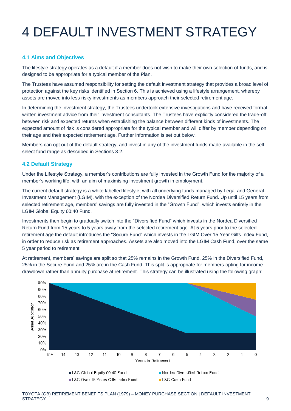# 4 DEFAULT INVESTMENT STRATEGY

### **4.1 Aims and Objectives**

The lifestyle strategy operates as a default if a member does not wish to make their own selection of funds, and is designed to be appropriate for a typical member of the Plan.

The Trustees have assumed responsibility for setting the default investment strategy that provides a broad level of protection against the key risks identified in Section 6. This is achieved using a lifestyle arrangement, whereby assets are moved into less risky investments as members approach their selected retirement age.

In determining the investment strategy, the Trustees undertook extensive investigations and have received formal written investment advice from their investment consultants. The Trustees have explicitly considered the trade-off between risk and expected returns when establishing the balance between different kinds of investments. The expected amount of risk is considered appropriate for the typical member and will differ by member depending on their age and their expected retirement age. Further information is set out below.

Members can opt out of the default strategy, and invest in any of the investment funds made available in the selfselect fund range as described in Sections 3.2.

#### **4.2 Default Strategy**

Under the Lifestyle Strategy, a member's contributions are fully invested in the Growth Fund for the majority of a member's working life, with an aim of maximising investment growth in employment.

The current default strategy is a white labelled lifestyle, with all underlying funds managed by Legal and General Investment Management (LGIM), with the exception of the Nordea Diversified Return Fund. Up until 15 years from selected retirement age, members' savings are fully invested in the "Growth Fund", which invests entirely in the LGIM Global Equity 60:40 Fund.

Investments then begin to gradually switch into the "Diversified Fund" which invests in the Nordea Diversified Return Fund from 15 years to 5 years away from the selected retirement age. At 5 years prior to the selected retirement age the default introduces the "Secure Fund" which invests in the LGIM Over 15 Year Gilts Index Fund, in order to reduce risk as retirement approaches. Assets are also moved into the LGIM Cash Fund, over the same 5 year period to retirement.

At retirement, members' savings are split so that 25% remains in the Growth Fund, 25% in the Diversified Fund, 25% in the Secure Fund and 25% are in the Cash Fund. This split is appropriate for members opting for income drawdown rather than annuity purchase at retirement. This strategy can be illustrated using the following graph:

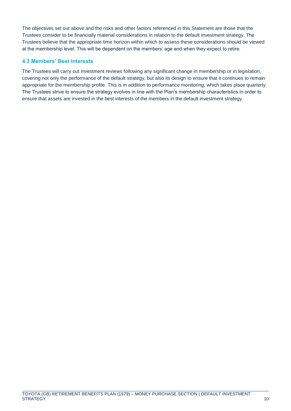The objectives set out above and the risks and other factors referenced in this Statement are those that the Trustees consider to be financially material considerations in relation to the default investment strategy. The Trustees believe that the appropriate time horizon within which to assess these considerations should be viewed at the membership level. This will be dependent on the members' age and when they expect to retire.

#### **4.3 Members' Best Interests**

The Trustees will carry out investment reviews following any significant change in membership or in legislation, covering not only the performance of the default strategy, but also its design to ensure that it continues to remain appropriate for the membership profile. This is in addition to performance monitoring, which takes place quarterly. The Trustees strive to ensure the strategy evolves in line with the Plan's membership characteristics in order to ensure that assets are invested in the best interests of the members in the default investment strategy.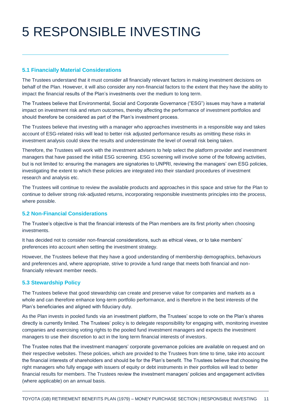## 5 RESPONSIBLE INVESTING

#### **5.1 Financially Material Considerations**

The Trustees understand that it must consider all financially relevant factors in making investment decisions on behalf of the Plan. However, it will also consider any non-financial factors to the extent that they have the ability to impact the financial results of the Plan's investments over the medium to long term.

The Trustees believe that Environmental, Social and Corporate Governance ("ESG") issues may have a material impact on investment risk and return outcomes, thereby affecting the performance of investment portfolios and should therefore be considered as part of the Plan's investment process.

The Trustees believe that investing with a manager who approaches investments in a responsible way and takes account of ESG-related risks will lead to better risk adjusted performance results as omitting these risks in investment analysis could skew the results and underestimate the level of overall risk being taken.

Therefore, the Trustees will work with the investment advisers to help select the platform provider and investment managers that have passed the initial ESG screening. ESG screening will involve some of the following activities, but is not limited to: ensuring the managers are signatories to UNPRI, reviewing the managers' own ESG policies, investigating the extent to which these policies are integrated into their standard procedures of investment research and analysis etc.

The Trustees will continue to review the available products and approaches in this space and strive for the Plan to continue to deliver strong risk-adjusted returns, incorporating responsible investments principles into the process, where possible.

#### **5.2 Non-Financial Considerations**

The Trustee's objective is that the financial interests of the Plan members are its first priority when choosing investments.

It has decided not to consider non-financial considerations, such as ethical views, or to take members' preferences into account when setting the investment strategy.

However, the Trustees believe that they have a good understanding of membership demographics, behaviours and preferences and, where appropriate, strive to provide a fund range that meets both financial and nonfinancially relevant member needs.

#### **5.3 Stewardship Policy**

The Trustees believe that good stewardship can create and preserve value for companies and markets as a whole and can therefore enhance long-term portfolio performance, and is therefore in the best interests of the Plan's beneficiaries and aligned with fiduciary duty.

As the Plan invests in pooled funds via an investment platform, the Trustees' scope to vote on the Plan's shares directly is currently limited. The Trustees' policy is to delegate responsibility for engaging with, monitoring investee companies and exercising voting rights to the pooled fund investment managers and expects the investment managers to use their discretion to act in the long term financial interests of investors.

The Trustee notes that the investment managers' corporate governance policies are available on request and on their respective websites. These policies, which are provided to the Trustees from time to time, take into account the financial interests of shareholders and should be for the Plan's benefit. The Trustees believe that choosing the right managers who fully engage with issuers of equity or debt instruments in their portfolios will lead to better financial results for members. The Trustees review the investment managers' policies and engagement activities (where applicable) on an annual basis.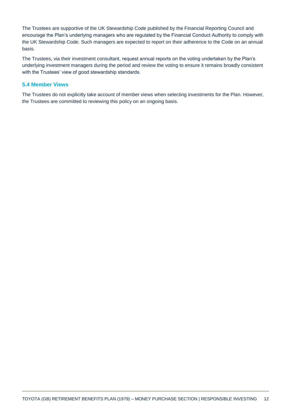The Trustees are supportive of the UK Stewardship Code published by the Financial Reporting Council and encourage the Plan's underlying managers who are regulated by the Financial Conduct Authority to comply with the UK Stewardship Code. Such managers are expected to report on their adherence to the Code on an annual basis.

The Trustees, via their investment consultant, request annual reports on the voting undertaken by the Plan's underlying investment managers during the period and review the voting to ensure it remains broadly consistent with the Trustees' view of good stewardship standards.

#### **5.4 Member Views**

The Trustees do not explicitly take account of member views when selecting investments for the Plan. However, the Trustees are committed to reviewing this policy on an ongoing basis.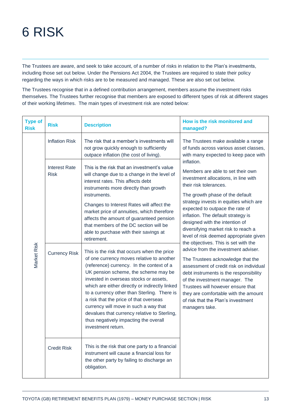## 6 RISK

The Trustees are aware, and seek to take account, of a number of risks in relation to the Plan's investments, including those set out below. Under the Pensions Act 2004, the Trustees are required to state their policy regarding the ways in which risks are to be measured and managed. These are also set out below.

The Trustees recognise that in a defined contribution arrangement, members assume the investment risks themselves. The Trustees further recognise that members are exposed to different types of risk at different stages of their working lifetimes. The main types of investment risk are noted below:

| <b>Type of</b><br><b>Risk</b> | <b>Risk</b>                                                 | <b>Description</b>                                                                                                                                                                                                                                                                                                                                                                                                                                                                                                                                                                                                                                                                                                                                                                                                                                                                                                                                               | How is the risk monitored and<br>managed?                                                                                                                                                                                                                                                                                                                                                                                                                                                                                                                                                                                                                                                                                                                                  |
|-------------------------------|-------------------------------------------------------------|------------------------------------------------------------------------------------------------------------------------------------------------------------------------------------------------------------------------------------------------------------------------------------------------------------------------------------------------------------------------------------------------------------------------------------------------------------------------------------------------------------------------------------------------------------------------------------------------------------------------------------------------------------------------------------------------------------------------------------------------------------------------------------------------------------------------------------------------------------------------------------------------------------------------------------------------------------------|----------------------------------------------------------------------------------------------------------------------------------------------------------------------------------------------------------------------------------------------------------------------------------------------------------------------------------------------------------------------------------------------------------------------------------------------------------------------------------------------------------------------------------------------------------------------------------------------------------------------------------------------------------------------------------------------------------------------------------------------------------------------------|
|                               | <b>Inflation Risk</b>                                       | The risk that a member's investments will<br>not grow quickly enough to sufficiently<br>outpace inflation (the cost of living).                                                                                                                                                                                                                                                                                                                                                                                                                                                                                                                                                                                                                                                                                                                                                                                                                                  | The Trustees make available a range<br>of funds across various asset classes,<br>with many expected to keep pace with                                                                                                                                                                                                                                                                                                                                                                                                                                                                                                                                                                                                                                                      |
| Market Risk                   | <b>Interest Rate</b><br><b>Risk</b><br><b>Currency Risk</b> | This is the risk that an investment's value<br>will change due to a change in the level of<br>interest rates. This affects debt<br>instruments more directly than growth<br>instruments.<br>Changes to Interest Rates will affect the<br>market price of annuities, which therefore<br>affects the amount of guaranteed pension<br>that members of the DC section will be<br>able to purchase with their savings at<br>retirement.<br>This is the risk that occurs when the price<br>of one currency moves relative to another<br>(reference) currency. In the context of a<br>UK pension scheme, the scheme may be<br>invested in overseas stocks or assets,<br>which are either directly or indirectly linked<br>to a currency other than Sterling. There is<br>a risk that the price of that overseas<br>currency will move in such a way that<br>devalues that currency relative to Sterling,<br>thus negatively impacting the overall<br>investment return. | inflation.<br>Members are able to set their own<br>investment allocations, in line with<br>their risk tolerances.<br>The growth phase of the default<br>strategy invests in equities which are<br>expected to outpace the rate of<br>inflation. The default strategy is<br>designed with the intention of<br>diversifying market risk to reach a<br>level of risk deemed appropriate given<br>the objectives. This is set with the<br>advice from the investment adviser.<br>The Trustees acknowledge that the<br>assessment of credit risk on individual<br>debt instruments is the responsibility<br>of the investment manager. The<br>Trustees will however ensure that<br>they are comfortable with the amount<br>of risk that the Plan's investment<br>managers take. |
|                               | <b>Credit Risk</b>                                          | This is the risk that one party to a financial<br>instrument will cause a financial loss for<br>the other party by failing to discharge an<br>obligation.                                                                                                                                                                                                                                                                                                                                                                                                                                                                                                                                                                                                                                                                                                                                                                                                        |                                                                                                                                                                                                                                                                                                                                                                                                                                                                                                                                                                                                                                                                                                                                                                            |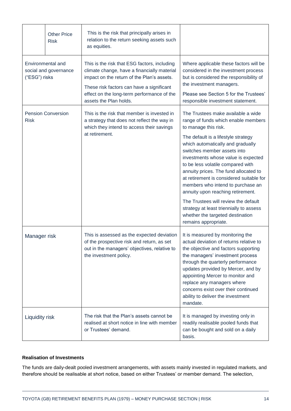|                                    | <b>Other Price</b><br><b>Risk</b> | This is the risk that principally arises in<br>relation to the return seeking assets such<br>as equities.                                                                                                                                                      |                                                                                                                                                                                                                                                                                                                                                                                                                                                                                                                                                                                                        |  |
|------------------------------------|-----------------------------------|----------------------------------------------------------------------------------------------------------------------------------------------------------------------------------------------------------------------------------------------------------------|--------------------------------------------------------------------------------------------------------------------------------------------------------------------------------------------------------------------------------------------------------------------------------------------------------------------------------------------------------------------------------------------------------------------------------------------------------------------------------------------------------------------------------------------------------------------------------------------------------|--|
| Environmental and<br>("ESG") risks | social and governance             | This is the risk that ESG factors, including<br>climate change, have a financially material<br>impact on the return of the Plan's assets.<br>These risk factors can have a significant<br>effect on the long-term performance of the<br>assets the Plan holds. | Where applicable these factors will be<br>considered in the investment process<br>but is considered the responsibility of<br>the investment managers.<br>Please see Section 5 for the Trustees'<br>responsible investment statement.                                                                                                                                                                                                                                                                                                                                                                   |  |
| <b>Risk</b>                        | <b>Pension Conversion</b>         | This is the risk that member is invested in<br>a strategy that does not reflect the way in<br>which they intend to access their savings<br>at retirement.                                                                                                      | The Trustees make available a wide<br>range of funds which enable members<br>to manage this risk.<br>The default is a lifestyle strategy<br>which automatically and gradually<br>switches member assets into<br>investments whose value is expected<br>to be less volatile compared with<br>annuity prices. The fund allocated to<br>at retirement is considered suitable for<br>members who intend to purchase an<br>annuity upon reaching retirement.<br>The Trustees will review the default<br>strategy at least triennially to assess<br>whether the targeted destination<br>remains appropriate. |  |
| Manager risk                       |                                   | This is assessed as the expected deviation<br>of the prospective risk and return, as set<br>out in the managers' objectives, relative to<br>the investment policy.                                                                                             | It is measured by monitoring the<br>actual deviation of returns relative to<br>the objective and factors supporting<br>the managers' investment process<br>through the quarterly performance<br>updates provided by Mercer, and by<br>appointing Mercer to monitor and<br>replace any managers where<br>concerns exist over their continued<br>ability to deliver the investment<br>mandate.                                                                                                                                                                                                           |  |
| Liquidity risk                     |                                   | The risk that the Plan's assets cannot be<br>realised at short notice in line with member<br>or Trustees' demand.                                                                                                                                              | It is managed by investing only in<br>readily realisable pooled funds that<br>can be bought and sold on a daily<br>basis.                                                                                                                                                                                                                                                                                                                                                                                                                                                                              |  |

#### **Realisation of Investments**

The funds are daily-dealt pooled investment arrangements, with assets mainly invested in regulated markets, and therefore should be realisable at short notice, based on either Trustees' or member demand. The selection,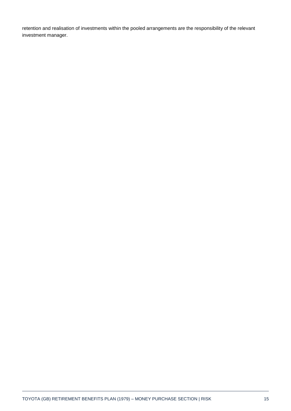retention and realisation of investments within the pooled arrangements are the responsibility of the relevant investment manager.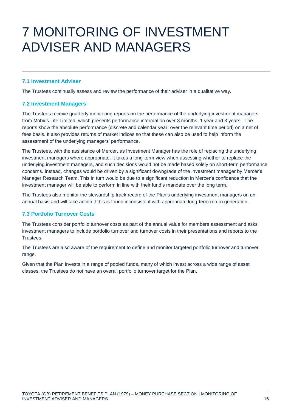### 7 MONITORING OF INVESTMENT ADVISER AND MANAGERS

#### **7.1 Investment Adviser**

The Trustees continually assess and review the performance of their adviser in a qualitative way.

#### **7.2 Investment Managers**

The Trustees receive quarterly monitoring reports on the performance of the underlying investment managers from Mobius Life Limited, which presents performance information over 3 months, 1 year and 3 years. The reports show the absolute performance (discrete and calendar year, over the relevant time period) on a net of fees basis. It also provides returns of market indices so that these can also be used to help inform the assessment of the underlying managers' performance.

The Trustees, with the assistance of Mercer, as Investment Manager has the role of replacing the underlying investment managers where appropriate. It takes a long-term view when assessing whether to replace the underlying investment managers, and such decisions would not be made based solely on short-term performance concerns. Instead, changes would be driven by a significant downgrade of the investment manager by Mercer's Manager Research Team. This in turn would be due to a significant reduction in Mercer's confidence that the investment manager will be able to perform in line with their fund's mandate over the long term.

The Trustees also monitor the stewardship track record of the Plan's underlying investment managers on an annual basis and will take action if this is found inconsistent with appropriate long-term return generation.

#### **7.3 Portfolio Turnover Costs**

The Trustees consider portfolio turnover costs as part of the annual value for members assessment and asks investment managers to include portfolio turnover and turnover costs in their presentations and reports to the Trustees.

The Trustees are also aware of the requirement to define and monitor targeted portfolio turnover and turnover range.

Given that the Plan invests in a range of pooled funds, many of which invest across a wide range of asset classes, the Trustees do not have an overall portfolio turnover target for the Plan.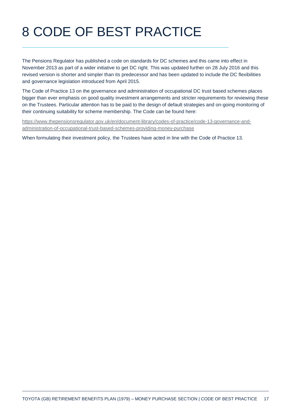# 8 CODE OF BEST PRACTICE

The Pensions Regulator has published a code on standards for DC schemes and this came into effect in November 2013 as part of a wider initiative to get DC right. This was updated further on 28 July 2016 and this revised version is shorter and simpler than its predecessor and has been updated to include the DC flexibilities and governance legislation introduced from April 2015.

The Code of Practice 13 on the governance and administration of occupational DC trust based schemes places bigger than ever emphasis on good quality investment arrangements and stricter requirements for reviewing these on the Trustees. Particular attention has to be paid to the design of default strategies and on-going monitoring of their continuing suitability for scheme membership. The Code can be found here:

[https://www.thepensionsregulator.gov.uk/en/document-library/codes-of-practice/code-13-governance-and](https://www.thepensionsregulator.gov.uk/en/document-library/codes-of-practice/code-13-governance-and-administration-of-occupational-trust-based-schemes-providing-money-purchase)[administration-of-occupational-trust-based-schemes-providing-money-purchase](https://www.thepensionsregulator.gov.uk/en/document-library/codes-of-practice/code-13-governance-and-administration-of-occupational-trust-based-schemes-providing-money-purchase)

When formulating their investment policy, the Trustees have acted in line with the Code of Practice 13.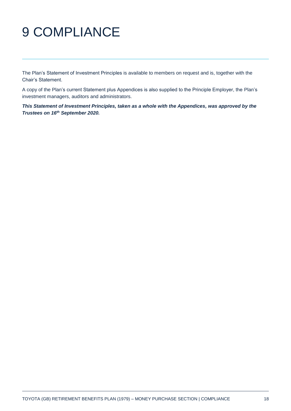## 9 COMPLIANCE

The Plan's Statement of Investment Principles is available to members on request and is, together with the Chair's Statement.

A copy of the Plan's current Statement plus Appendices is also supplied to the Principle Employer, the Plan's investment managers, auditors and administrators.

*This Statement of Investment Principles, taken as a whole with the Appendices, was approved by the Trustees on 16th September 2020.*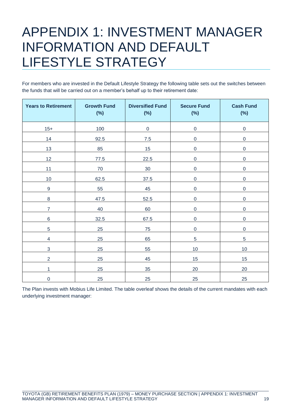### APPENDIX 1: INVESTMENT MANAGER INFORMATION AND DEFAULT LIFESTYLE STRATEGY

For members who are invested in the Default Lifestyle Strategy the following table sets out the switches between the funds that will be carried out on a member's behalf up to their retirement date:

| <b>Years to Retirement</b> | <b>Growth Fund</b><br>$(\%)$ | <b>Diversified Fund</b><br>$(\%)$ | <b>Secure Fund</b><br>(%) | <b>Cash Fund</b><br>$(\%)$ |
|----------------------------|------------------------------|-----------------------------------|---------------------------|----------------------------|
| $15+$                      | 100                          | $\boldsymbol{0}$                  | $\boldsymbol{0}$          | $\mathbf 0$                |
| 14                         | 92.5                         | $7.5$                             | $\boldsymbol{0}$          | $\pmb{0}$                  |
| 13                         | 85                           | 15                                | $\mathbf 0$               | $\pmb{0}$                  |
| 12                         | 77.5                         | 22.5                              | $\boldsymbol{0}$          | $\pmb{0}$                  |
| 11                         | $70\,$                       | $30\,$                            | $\mathbf 0$               | $\boldsymbol{0}$           |
| 10                         | 62.5                         | 37.5                              | $\mathbf 0$               | $\boldsymbol{0}$           |
| $\boldsymbol{9}$           | 55                           | 45                                | $\mathbf 0$               | $\boldsymbol{0}$           |
| $\bf 8$                    | 47.5                         | 52.5                              | $\mathbf 0$               | $\pmb{0}$                  |
| $\overline{7}$             | 40                           | 60                                | $\mathbf 0$               | $\boldsymbol{0}$           |
| $\,$ 6 $\,$                | 32.5                         | 67.5                              | $\mathbf 0$               | $\mathsf 0$                |
| 5                          | 25                           | 75                                | $\mathbf 0$               | $\pmb{0}$                  |
| $\overline{\mathbf{4}}$    | 25                           | 65                                | 5                         | 5                          |
| $\mathbf{3}$               | 25                           | 55                                | 10                        | 10                         |
| $\overline{2}$             | 25                           | 45                                | 15                        | 15                         |
| 1                          | 25                           | 35                                | 20                        | 20                         |
| $\mathsf 0$                | 25                           | 25                                | 25                        | 25                         |

The Plan invests with Mobius Life Limited. The table overleaf shows the details of the current mandates with each underlying investment manager: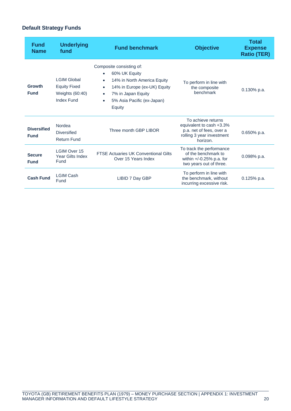### **Default Strategy Funds**

| <b>Fund</b><br><b>Name</b>        | <b>Underlying</b><br>fund                                                         | <b>Fund benchmark</b>                                                                                                                                                                                                                   | <b>Objective</b>                                                                                                    | <b>Total</b><br><b>Expense</b><br><b>Ratio (TER)</b> |
|-----------------------------------|-----------------------------------------------------------------------------------|-----------------------------------------------------------------------------------------------------------------------------------------------------------------------------------------------------------------------------------------|---------------------------------------------------------------------------------------------------------------------|------------------------------------------------------|
| Growth<br><b>Fund</b>             | <b>LGIM Global</b><br><b>Equity Fixed</b><br>Weights (60:40)<br><b>Index Fund</b> | Composite consisting of:<br>60% UK Equity<br>$\bullet$<br>14% in North America Equity<br>$\bullet$<br>14% in Europe (ex-UK) Equity<br>$\bullet$<br>7% in Japan Equity<br>$\bullet$<br>5% Asia Pacific (ex-Japan)<br>$\bullet$<br>Equity | To perform in line with<br>the composite<br>benchmark                                                               | $0.130\%$ p.a.                                       |
| <b>Diversified</b><br><b>Fund</b> | Nordea<br><b>Diversified</b><br><b>Return Fund</b>                                | Three month GBP LIBOR                                                                                                                                                                                                                   | To achieve returns<br>equivalent to cash +3.3%<br>p.a. net of fees, over a<br>rolling 3 year investment<br>horizon. | 0.650% p.a.                                          |
| <b>Secure</b><br><b>Fund</b>      | <b>LGIM Over 15</b><br>Year Gilts Index<br>Fund                                   | <b>FTSE Actuaries UK Conventional Gilts</b><br>Over 15 Years Index                                                                                                                                                                      | To track the performance<br>of the benchmark to<br>within +/-0.25% p.a. for<br>two years out of three.              | 0.098% p.a.                                          |
| <b>Cash Fund</b>                  | <b>LGIM Cash</b><br>Fund                                                          | LIBID 7 Day GBP                                                                                                                                                                                                                         | To perform in line with<br>the benchmark, without<br>incurring excessive risk.                                      | $0.125%$ p.a.                                        |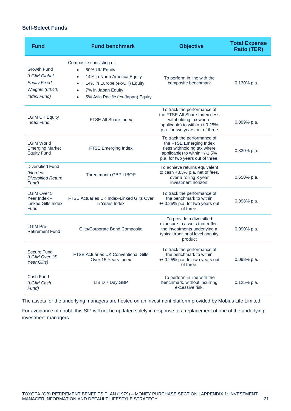#### **Self-Select Funds**

| <b>Fund</b>                                                                                 | <b>Fund benchmark</b>                                                                                                                                                                                                                | <b>Objective</b>                                                                                                                                            | <b>Total Expense</b><br><b>Ratio (TER)</b> |
|---------------------------------------------------------------------------------------------|--------------------------------------------------------------------------------------------------------------------------------------------------------------------------------------------------------------------------------------|-------------------------------------------------------------------------------------------------------------------------------------------------------------|--------------------------------------------|
| <b>Growth Fund</b><br>(LGIM Global<br><b>Equity Fixed</b><br>Weights (60:40)<br>Index Fund) | Composite consisting of:<br>60% UK Equity<br>$\bullet$<br>14% in North America Equity<br>$\bullet$<br>14% in Europe (ex-UK) Equity<br>$\bullet$<br>7% in Japan Equity<br>$\bullet$<br>5% Asia Pacific (ex-Japan) Equity<br>$\bullet$ | To perform in line with the<br>composite benchmark                                                                                                          | $0.130\%$ p.a.                             |
| <b>LGIM UK Equity</b><br><b>Index Fund</b>                                                  | <b>FTSE All Share Index</b>                                                                                                                                                                                                          | To track the performance of<br>the FTSE All-Share Index (less<br>withholding tax where<br>applicable) to within +/-0.25%<br>p.a. for two years out of three | 0.099% p.a.                                |
| <b>LGIM World</b><br><b>Emerging Market</b><br><b>Equity Fund</b>                           | FTSE Emerging Index                                                                                                                                                                                                                  | To track the performance of<br>the FTSE Emerging Index<br>(less withholding tax where<br>applicable) to within +/-1.5%<br>p.a. for two years out of three.  | 0.330% p.a.                                |
| <b>Diversified Fund</b><br>(Nordea<br><b>Diversified Return</b><br>Fund)                    | Three month GBP LIBOR                                                                                                                                                                                                                | To achieve returns equivalent<br>to cash +3.3% p.a. net of fees,<br>over a rolling 3 year<br>investment horizon.                                            | 0.650% p.a.                                |
| <b>LGIM Over 5</b><br>Year Index $-$<br><b>Linked Gilts Index</b><br>Fund                   | <b>FTSE Actuaries UK Index-Linked Gilts Over</b><br>5 Years Index                                                                                                                                                                    | To track the performance of<br>the benchmark to within<br>$+/-0.25\%$ p.a. for two years out<br>of three.                                                   | 0.098% p.a.                                |
| <b>LGIM Pre-</b><br><b>Retirement Fund</b>                                                  | Gilts/Corporate Bond Composite                                                                                                                                                                                                       | To provide a diversified<br>exposure to assets that reflect<br>the investments underlying a<br>typical traditional level annuity<br>product                 | 0.090% p.a.                                |
| Secure Fund<br>(LGIM Over 15<br>Year Gilts)                                                 | <b>FTSE Actuaries UK Conventional Gilts</b><br>Over 15 Years Index                                                                                                                                                                   | To track the performance of<br>the benchmark to within<br>+/-0.25% p.a. for two years out<br>of three.                                                      | 0.098% p.a.                                |
| Cash Fund<br>(LGIM Cash<br>Fund)                                                            | LIBID 7 Day GBP                                                                                                                                                                                                                      | To perform in line with the<br>benchmark, without incurring<br>excessive risk.                                                                              | $0.125%$ p.a.                              |

The assets for the underlying managers are hosted on an investment platform provided by Mobius Life Limited.

For avoidance of doubt, this SIP will not be updated solely in response to a replacement of one of the underlying investment managers.